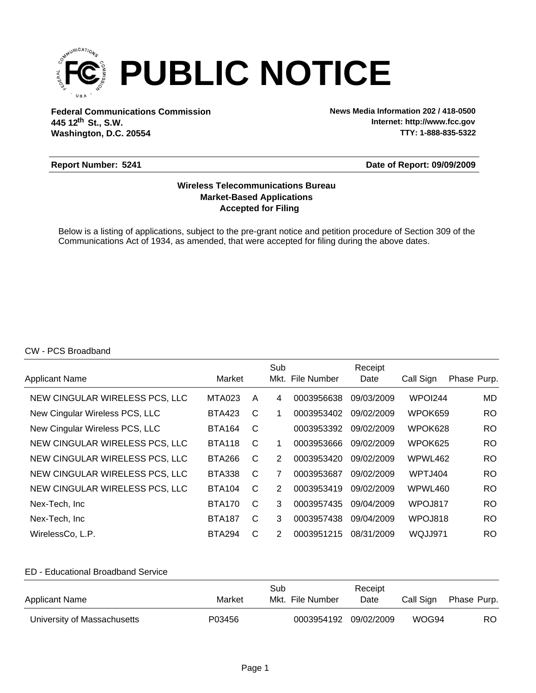

**Federal Communications Commission News Media Information 202 / 418-0500 Washington, D.C. 20554 th 445 12 St., S.W.**

**Internet: http://www.fcc.gov TTY: 1-888-835-5322**

#### **Report Number: 5241**

#### **Date of Report: 09/09/2009**

# **Accepted for Filing Market-Based Applications Wireless Telecommunications Bureau**

Below is a listing of applications, subject to the pre-grant notice and petition procedure of Section 309 of the Communications Act of 1934, as amended, that were accepted for filing during the above dates.

## CW - PCS Broadband

|                                |               |              | Sub |                  | Receipt    |           |             |
|--------------------------------|---------------|--------------|-----|------------------|------------|-----------|-------------|
| Applicant Name                 | Market        |              |     | Mkt. File Number | Date       | Call Sign | Phase Purp. |
| NEW CINGULAR WIRELESS PCS, LLC | <b>MTA023</b> | A            | 4   | 0003956638       | 09/03/2009 | WPOI244   | MD.         |
| New Cingular Wireless PCS, LLC | <b>BTA423</b> | C            | 1   | 0003953402       | 09/02/2009 | WPOK659   | RO.         |
| New Cingular Wireless PCS, LLC | <b>BTA164</b> | C            |     | 0003953392       | 09/02/2009 | WPOK628   | RO.         |
| NEW CINGULAR WIRELESS PCS, LLC | <b>BTA118</b> | C            | 1   | 0003953666       | 09/02/2009 | WPOK625   | RO.         |
| NEW CINGULAR WIRELESS PCS, LLC | <b>BTA266</b> | C            | 2   | 0003953420       | 09/02/2009 | WPWL462   | RO.         |
| NEW CINGULAR WIRELESS PCS, LLC | <b>BTA338</b> | C            | 7   | 0003953687       | 09/02/2009 | WPTJ404   | RO.         |
| NEW CINGULAR WIRELESS PCS, LLC | <b>BTA104</b> | $\mathsf{C}$ | 2   | 0003953419       | 09/02/2009 | WPWL460   | RO.         |
| Nex-Tech, Inc.                 | <b>BTA170</b> | C            | 3   | 0003957435       | 09/04/2009 | WPOJ817   | RO.         |
| Nex-Tech, Inc.                 | <b>BTA187</b> | C            | 3   | 0003957438       | 09/04/2009 | WPOJ818   | RO.         |
| WirelessCo, L.P.               | <b>BTA294</b> | C            | 2   | 0003951215       | 08/31/2009 | WQJJ971   | <b>RO</b>   |

## ED - Educational Broadband Service

| <b>Applicant Name</b>       | Market | Sub<br>Mkt. File Number | Receipt<br>Date | Call Sign | Phase Purp. |
|-----------------------------|--------|-------------------------|-----------------|-----------|-------------|
| University of Massachusetts | P03456 | 0003954192 09/02/2009   |                 | WOG94     | RO.         |